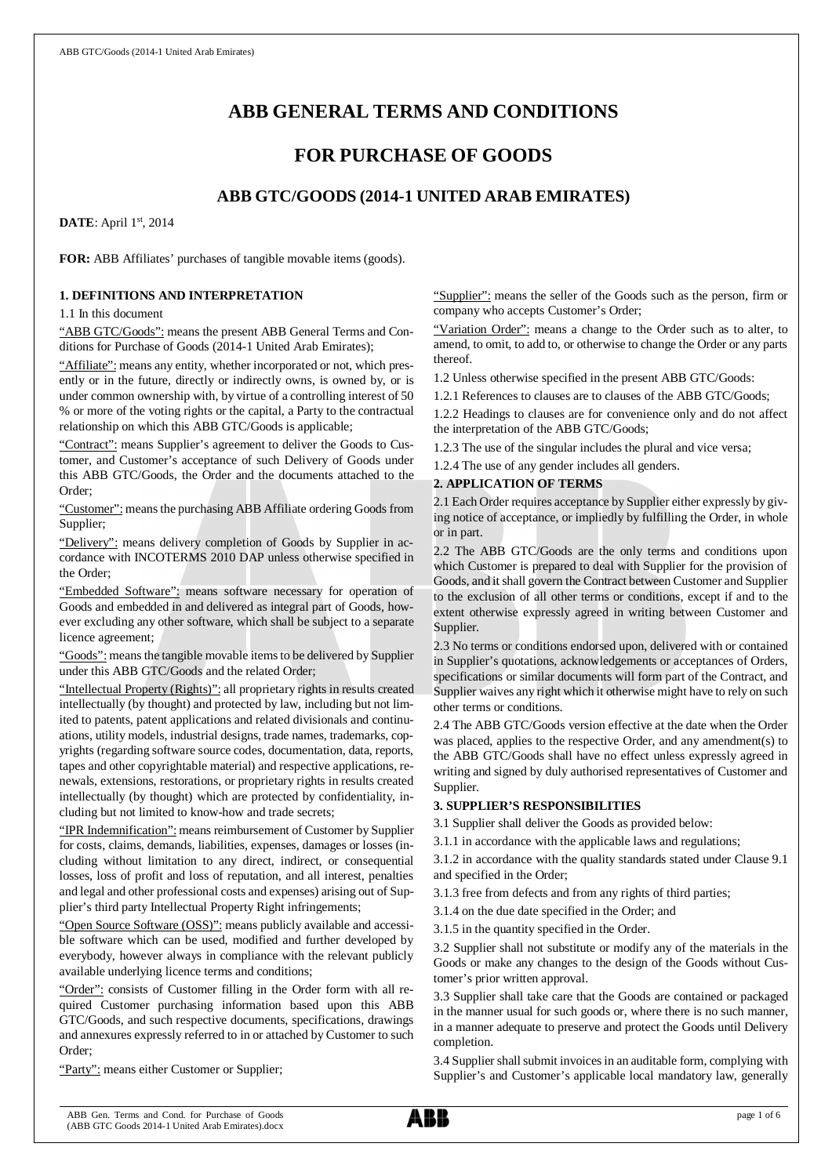# **ABB GENERAL TERMS AND CONDITIONS**

## **FOR PURCHASE OF GOODS**

## **ABB GTC/GOODS (2014-1 UNITED ARAB EMIRATES)**

**DATE**: April 1st, 2014

**FOR:** ABB Affiliates' purchases of tangible movable items (goods).

#### **1. DEFINITIONS AND INTERPRETATION**

1.1 In this document

"ABB GTC/Goods": means the present ABB General Terms and Conditions for Purchase of Goods (2014-1 United Arab Emirates);

"Affiliate": means any entity, whether incorporated or not, which presently or in the future, directly or indirectly owns, is owned by, or is under common ownership with, by virtue of a controlling interest of 50 % or more of the voting rights or the capital, a Party to the contractual relationship on which this ABB GTC/Goods is applicable;

"Contract": means Supplier's agreement to deliver the Goods to Customer, and Customer's acceptance of such Delivery of Goods under this ABB GTC/Goods, the Order and the documents attached to the Order;

"Customer": means the purchasing ABB Affiliate ordering Goods from Supplier;

"Delivery": means delivery completion of Goods by Supplier in accordance with INCOTERMS 2010 DAP unless otherwise specified in the Order;

"Embedded Software": means software necessary for operation of Goods and embedded in and delivered as integral part of Goods, however excluding any other software, which shall be subject to a separate licence agreement;

"Goods": means the tangible movable items to be delivered by Supplier under this ABB GTC/Goods and the related Order;

"Intellectual Property (Rights)": all proprietary rights in results created intellectually (by thought) and protected by law, including but not limited to patents, patent applications and related divisionals and continuations, utility models, industrial designs, trade names, trademarks, copyrights (regarding software source codes, documentation, data, reports, tapes and other copyrightable material) and respective applications, renewals, extensions, restorations, or proprietary rights in results created intellectually (by thought) which are protected by confidentiality, including but not limited to know-how and trade secrets;

"IPR Indemnification": means reimbursement of Customer by Supplier for costs, claims, demands, liabilities, expenses, damages or losses (including without limitation to any direct, indirect, or consequential losses, loss of profit and loss of reputation, and all interest, penalties and legal and other professional costs and expenses) arising out of Supplier's third party Intellectual Property Right infringements;

"Open Source Software (OSS)": means publicly available and accessible software which can be used, modified and further developed by everybody, however always in compliance with the relevant publicly available underlying licence terms and conditions;

"Order": consists of Customer filling in the Order form with all required Customer purchasing information based upon this ABB GTC/Goods, and such respective documents, specifications, drawings and annexures expressly referred to in or attached by Customer to such Order;

"Party": means either Customer or Supplier;

"Supplier": means the seller of the Goods such as the person, firm or company who accepts Customer's Order;

"Variation Order": means a change to the Order such as to alter, to amend, to omit, to add to, or otherwise to change the Order or any parts thereof.

1.2 Unless otherwise specified in the present ABB GTC/Goods:

1.2.1 References to clauses are to clauses of the ABB GTC/Goods;

1.2.2 Headings to clauses are for convenience only and do not affect the interpretation of the ABB GTC/Goods;

1.2.3 The use of the singular includes the plural and vice versa;

1.2.4 The use of any gender includes all genders.

## **2. APPLICATION OF TERMS**

2.1 Each Order requires acceptance by Supplier either expressly by giving notice of acceptance, or impliedly by fulfilling the Order, in whole or in part.

2.2 The ABB GTC/Goods are the only terms and conditions upon which Customer is prepared to deal with Supplier for the provision of Goods, and it shall govern the Contract between Customer and Supplier to the exclusion of all other terms or conditions, except if and to the extent otherwise expressly agreed in writing between Customer and Supplier.

2.3 No terms or conditions endorsed upon, delivered with or contained in Supplier's quotations, acknowledgements or acceptances of Orders, specifications or similar documents will form part of the Contract, and Supplier waives any right which it otherwise might have to rely on such other terms or conditions.

2.4 The ABB GTC/Goods version effective at the date when the Order was placed, applies to the respective Order, and any amendment(s) to the ABB GTC/Goods shall have no effect unless expressly agreed in writing and signed by duly authorised representatives of Customer and Supplier.

## **3. SUPPLIER'S RESPONSIBILITIES**

3.1 Supplier shall deliver the Goods as provided below:

3.1.1 in accordance with the applicable laws and regulations;

3.1.2 in accordance with the quality standards stated under Clause 9.1 and specified in the Order;

3.1.3 free from defects and from any rights of third parties;

3.1.4 on the due date specified in the Order; and

3.1.5 in the quantity specified in the Order.

3.2 Supplier shall not substitute or modify any of the materials in the Goods or make any changes to the design of the Goods without Customer's prior written approval.

3.3 Supplier shall take care that the Goods are contained or packaged in the manner usual for such goods or, where there is no such manner, in a manner adequate to preserve and protect the Goods until Delivery completion.

3.4 Supplier shall submit invoices in an auditable form, complying with Supplier's and Customer's applicable local mandatory law, generally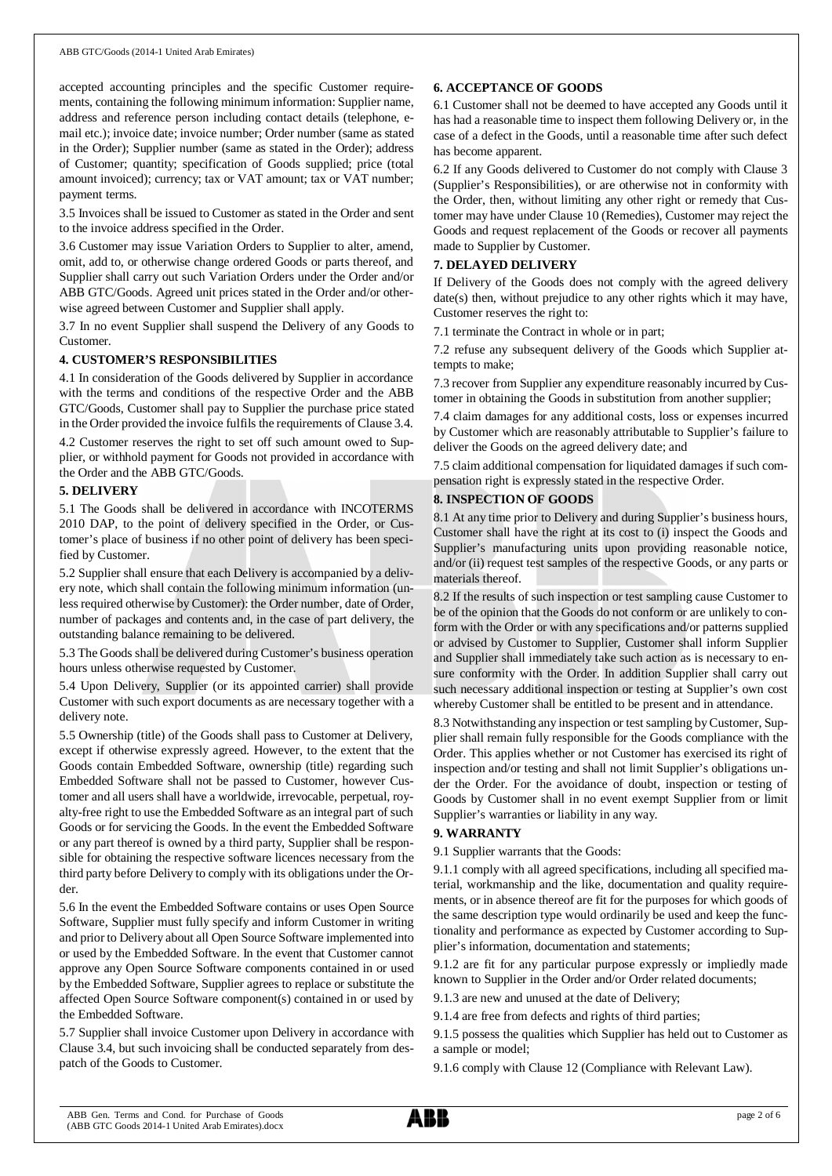accepted accounting principles and the specific Customer requirements, containing the following minimum information: Supplier name, address and reference person including contact details (telephone, email etc.); invoice date; invoice number; Order number (same as stated in the Order); Supplier number (same as stated in the Order); address of Customer; quantity; specification of Goods supplied; price (total amount invoiced); currency; tax or VAT amount; tax or VAT number; payment terms.

3.5 Invoices shall be issued to Customer as stated in the Order and sent to the invoice address specified in the Order.

3.6 Customer may issue Variation Orders to Supplier to alter, amend, omit, add to, or otherwise change ordered Goods or parts thereof, and Supplier shall carry out such Variation Orders under the Order and/or ABB GTC/Goods. Agreed unit prices stated in the Order and/or otherwise agreed between Customer and Supplier shall apply.

3.7 In no event Supplier shall suspend the Delivery of any Goods to Customer.

#### **4. CUSTOMER'S RESPONSIBILITIES**

4.1 In consideration of the Goods delivered by Supplier in accordance with the terms and conditions of the respective Order and the ABB GTC/Goods, Customer shall pay to Supplier the purchase price stated in the Order provided the invoice fulfils the requirements of Clause 3.4.

4.2 Customer reserves the right to set off such amount owed to Supplier, or withhold payment for Goods not provided in accordance with the Order and the ABB GTC/Goods.

#### **5. DELIVERY**

5.1 The Goods shall be delivered in accordance with INCOTERMS 2010 DAP, to the point of delivery specified in the Order, or Customer's place of business if no other point of delivery has been specified by Customer.

5.2 Supplier shall ensure that each Delivery is accompanied by a delivery note, which shall contain the following minimum information (unless required otherwise by Customer): the Order number, date of Order, number of packages and contents and, in the case of part delivery, the outstanding balance remaining to be delivered.

5.3 The Goods shall be delivered during Customer's business operation hours unless otherwise requested by Customer.

5.4 Upon Delivery, Supplier (or its appointed carrier) shall provide Customer with such export documents as are necessary together with a delivery note.

5.5 Ownership (title) of the Goods shall pass to Customer at Delivery, except if otherwise expressly agreed. However, to the extent that the Goods contain Embedded Software, ownership (title) regarding such Embedded Software shall not be passed to Customer, however Customer and all users shall have a worldwide, irrevocable, perpetual, royalty-free right to use the Embedded Software as an integral part of such Goods or for servicing the Goods. In the event the Embedded Software or any part thereof is owned by a third party, Supplier shall be responsible for obtaining the respective software licences necessary from the third party before Delivery to comply with its obligations under the Order.

5.6 In the event the Embedded Software contains or uses Open Source Software, Supplier must fully specify and inform Customer in writing and prior to Delivery about all Open Source Software implemented into or used by the Embedded Software. In the event that Customer cannot approve any Open Source Software components contained in or used by the Embedded Software, Supplier agrees to replace or substitute the affected Open Source Software component(s) contained in or used by the Embedded Software.

5.7 Supplier shall invoice Customer upon Delivery in accordance with Clause 3.4, but such invoicing shall be conducted separately from despatch of the Goods to Customer.

## **6. ACCEPTANCE OF GOODS**

6.1 Customer shall not be deemed to have accepted any Goods until it has had a reasonable time to inspect them following Delivery or, in the case of a defect in the Goods, until a reasonable time after such defect has become apparent.

6.2 If any Goods delivered to Customer do not comply with Clause 3 (Supplier's Responsibilities), or are otherwise not in conformity with the Order, then, without limiting any other right or remedy that Customer may have under Clause 10 (Remedies), Customer may reject the Goods and request replacement of the Goods or recover all payments made to Supplier by Customer.

## **7. DELAYED DELIVERY**

If Delivery of the Goods does not comply with the agreed delivery date(s) then, without prejudice to any other rights which it may have, Customer reserves the right to:

7.1 terminate the Contract in whole or in part;

7.2 refuse any subsequent delivery of the Goods which Supplier attempts to make;

7.3 recover from Supplier any expenditure reasonably incurred by Customer in obtaining the Goods in substitution from another supplier;

7.4 claim damages for any additional costs, loss or expenses incurred by Customer which are reasonably attributable to Supplier's failure to deliver the Goods on the agreed delivery date; and

7.5 claim additional compensation for liquidated damages if such compensation right is expressly stated in the respective Order.

## **8. INSPECTION OF GOODS**

8.1 At any time prior to Delivery and during Supplier's business hours, Customer shall have the right at its cost to (i) inspect the Goods and Supplier's manufacturing units upon providing reasonable notice, and/or (ii) request test samples of the respective Goods, or any parts or materials thereof.

8.2 If the results of such inspection or test sampling cause Customer to be of the opinion that the Goods do not conform or are unlikely to conform with the Order or with any specifications and/or patterns supplied or advised by Customer to Supplier, Customer shall inform Supplier and Supplier shall immediately take such action as is necessary to ensure conformity with the Order. In addition Supplier shall carry out such necessary additional inspection or testing at Supplier's own cost whereby Customer shall be entitled to be present and in attendance.

8.3 Notwithstanding any inspection or test sampling by Customer, Supplier shall remain fully responsible for the Goods compliance with the Order. This applies whether or not Customer has exercised its right of inspection and/or testing and shall not limit Supplier's obligations under the Order. For the avoidance of doubt, inspection or testing of Goods by Customer shall in no event exempt Supplier from or limit Supplier's warranties or liability in any way.

## **9. WARRANTY**

9.1 Supplier warrants that the Goods:

9.1.1 comply with all agreed specifications, including all specified material, workmanship and the like, documentation and quality requirements, or in absence thereof are fit for the purposes for which goods of the same description type would ordinarily be used and keep the functionality and performance as expected by Customer according to Supplier's information, documentation and statements;

9.1.2 are fit for any particular purpose expressly or impliedly made known to Supplier in the Order and/or Order related documents;

9.1.3 are new and unused at the date of Delivery;

9.1.4 are free from defects and rights of third parties;

9.1.5 possess the qualities which Supplier has held out to Customer as a sample or model;

9.1.6 comply with Clause 12 (Compliance with Relevant Law).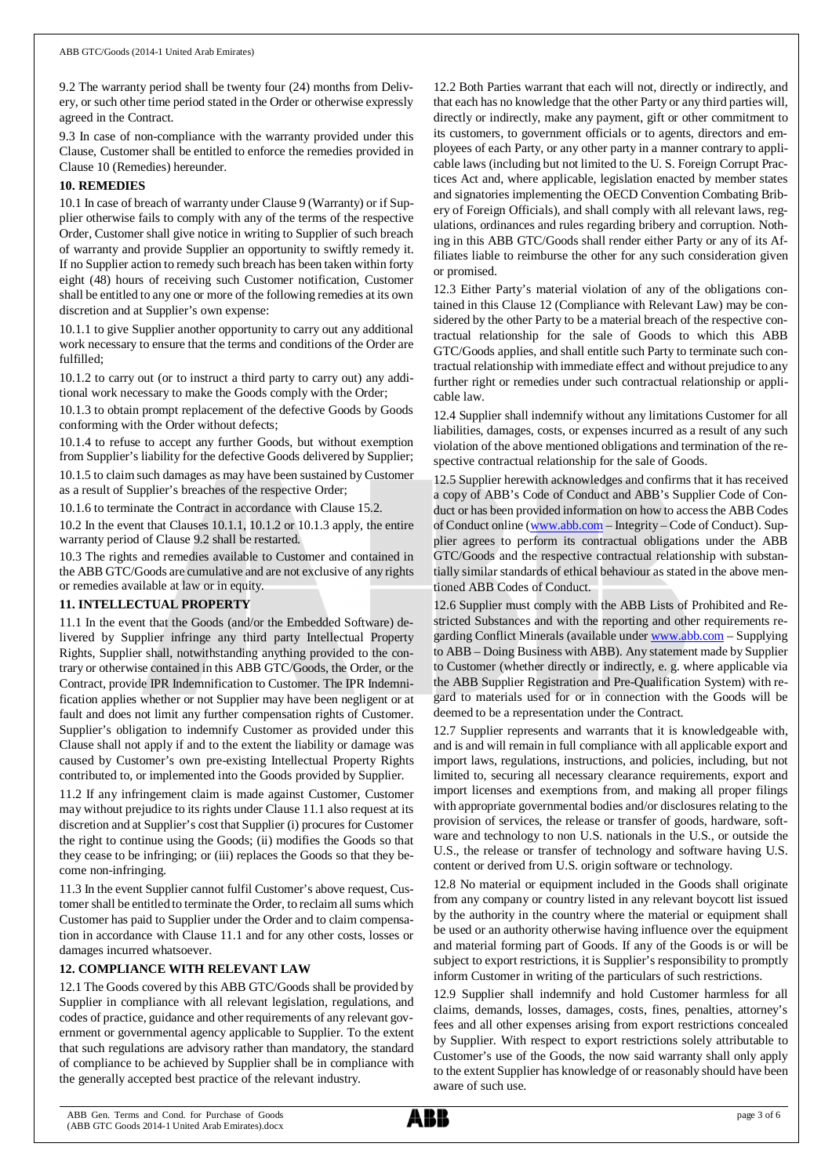9.2 The warranty period shall be twenty four (24) months from Delivery, or such other time period stated in the Order or otherwise expressly agreed in the Contract.

9.3 In case of non-compliance with the warranty provided under this Clause, Customer shall be entitled to enforce the remedies provided in Clause 10 (Remedies) hereunder.

## **10. REMEDIES**

10.1 In case of breach of warranty under Clause 9 (Warranty) or if Supplier otherwise fails to comply with any of the terms of the respective Order, Customer shall give notice in writing to Supplier of such breach of warranty and provide Supplier an opportunity to swiftly remedy it. If no Supplier action to remedy such breach has been taken within forty eight (48) hours of receiving such Customer notification, Customer shall be entitled to any one or more of the following remedies at its own discretion and at Supplier's own expense:

10.1.1 to give Supplier another opportunity to carry out any additional work necessary to ensure that the terms and conditions of the Order are fulfilled;

10.1.2 to carry out (or to instruct a third party to carry out) any additional work necessary to make the Goods comply with the Order;

10.1.3 to obtain prompt replacement of the defective Goods by Goods conforming with the Order without defects;

10.1.4 to refuse to accept any further Goods, but without exemption from Supplier's liability for the defective Goods delivered by Supplier;

10.1.5 to claim such damages as may have been sustained by Customer as a result of Supplier's breaches of the respective Order;

10.1.6 to terminate the Contract in accordance with Clause 15.2.

10.2 In the event that Clauses 10.1.1, 10.1.2 or 10.1.3 apply, the entire warranty period of Clause 9.2 shall be restarted.

10.3 The rights and remedies available to Customer and contained in the ABB GTC/Goods are cumulative and are not exclusive of any rights or remedies available at law or in equity.

## **11. INTELLECTUAL PROPERTY**

11.1 In the event that the Goods (and/or the Embedded Software) delivered by Supplier infringe any third party Intellectual Property Rights, Supplier shall, notwithstanding anything provided to the contrary or otherwise contained in this ABB GTC/Goods, the Order, or the Contract, provide IPR Indemnification to Customer. The IPR Indemnification applies whether or not Supplier may have been negligent or at fault and does not limit any further compensation rights of Customer. Supplier's obligation to indemnify Customer as provided under this Clause shall not apply if and to the extent the liability or damage was caused by Customer's own pre-existing Intellectual Property Rights contributed to, or implemented into the Goods provided by Supplier.

11.2 If any infringement claim is made against Customer, Customer may without prejudice to its rights under Clause 11.1 also request at its discretion and at Supplier's cost that Supplier (i) procures for Customer the right to continue using the Goods; (ii) modifies the Goods so that they cease to be infringing; or (iii) replaces the Goods so that they become non-infringing.

11.3 In the event Supplier cannot fulfil Customer's above request, Customer shall be entitled to terminate the Order, to reclaim all sums which Customer has paid to Supplier under the Order and to claim compensation in accordance with Clause 11.1 and for any other costs, losses or damages incurred whatsoever.

## **12. COMPLIANCE WITH RELEVANT LAW**

12.1 The Goods covered by this ABB GTC/Goods shall be provided by Supplier in compliance with all relevant legislation, regulations, and codes of practice, guidance and other requirements of any relevant government or governmental agency applicable to Supplier. To the extent that such regulations are advisory rather than mandatory, the standard of compliance to be achieved by Supplier shall be in compliance with the generally accepted best practice of the relevant industry.

12.2 Both Parties warrant that each will not, directly or indirectly, and that each has no knowledge that the other Party or any third parties will, directly or indirectly, make any payment, gift or other commitment to its customers, to government officials or to agents, directors and employees of each Party, or any other party in a manner contrary to applicable laws (including but not limited to the U. S. Foreign Corrupt Practices Act and, where applicable, legislation enacted by member states and signatories implementing the OECD Convention Combating Bribery of Foreign Officials), and shall comply with all relevant laws, regulations, ordinances and rules regarding bribery and corruption. Nothing in this ABB GTC/Goods shall render either Party or any of its Affiliates liable to reimburse the other for any such consideration given or promised.

12.3 Either Party's material violation of any of the obligations contained in this Clause 12 (Compliance with Relevant Law) may be considered by the other Party to be a material breach of the respective contractual relationship for the sale of Goods to which this ABB GTC/Goods applies, and shall entitle such Party to terminate such contractual relationship with immediate effect and without prejudice to any further right or remedies under such contractual relationship or applicable law.

12.4 Supplier shall indemnify without any limitations Customer for all liabilities, damages, costs, or expenses incurred as a result of any such violation of the above mentioned obligations and termination of the respective contractual relationship for the sale of Goods.

12.5 Supplier herewith acknowledges and confirms that it has received a copy of ABB's Code of Conduct and ABB's Supplier Code of Conduct or has been provided information on how to access the ABB Codes of Conduct online ([www.abb.com](http://www.abb.com/) – Integrity – Code of Conduct). Supplier agrees to perform its contractual obligations under the ABB GTC/Goods and the respective contractual relationship with substantially similar standards of ethical behaviour as stated in the above mentioned ABB Codes of Conduct.

12.6 Supplier must comply with the ABB Lists of Prohibited and Restricted Substances and with the reporting and other requirements regarding Conflict Minerals (available under [www.abb.com](http://www.abb.com/) – Supplying to ABB – Doing Business with ABB). Any statement made by Supplier to Customer (whether directly or indirectly, e. g. where applicable via the ABB Supplier Registration and Pre-Qualification System) with regard to materials used for or in connection with the Goods will be deemed to be a representation under the Contract.

12.7 Supplier represents and warrants that it is knowledgeable with, and is and will remain in full compliance with all applicable export and import laws, regulations, instructions, and policies, including, but not limited to, securing all necessary clearance requirements, export and import licenses and exemptions from, and making all proper filings with appropriate governmental bodies and/or disclosures relating to the provision of services, the release or transfer of goods, hardware, software and technology to non U.S. nationals in the U.S., or outside the U.S., the release or transfer of technology and software having U.S. content or derived from U.S. origin software or technology.

12.8 No material or equipment included in the Goods shall originate from any company or country listed in any relevant boycott list issued by the authority in the country where the material or equipment shall be used or an authority otherwise having influence over the equipment and material forming part of Goods. If any of the Goods is or will be subject to export restrictions, it is Supplier's responsibility to promptly inform Customer in writing of the particulars of such restrictions.

12.9 Supplier shall indemnify and hold Customer harmless for all claims, demands, losses, damages, costs, fines, penalties, attorney's fees and all other expenses arising from export restrictions concealed by Supplier. With respect to export restrictions solely attributable to Customer's use of the Goods, the now said warranty shall only apply to the extent Supplier has knowledge of or reasonably should have been aware of such use.

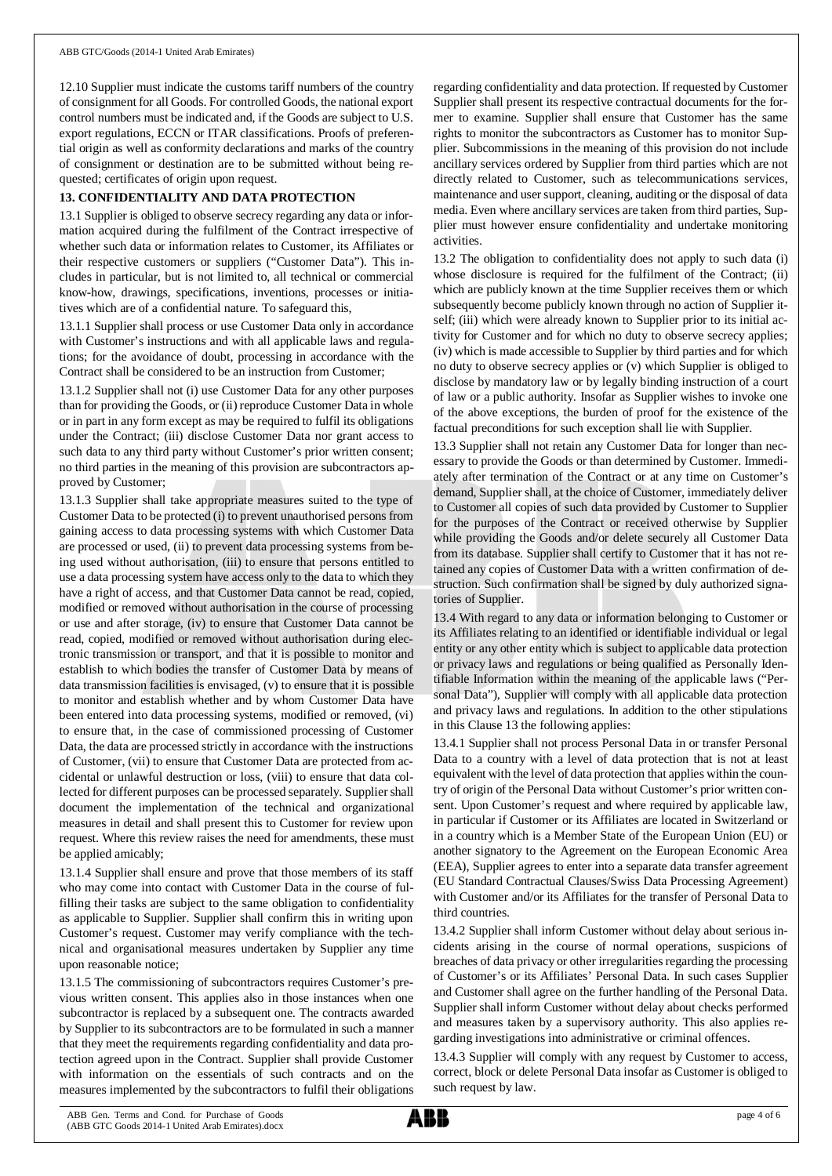12.10 Supplier must indicate the customs tariff numbers of the country of consignment for all Goods. For controlled Goods, the national export control numbers must be indicated and, if the Goods are subject to U.S. export regulations, ECCN or ITAR classifications. Proofs of preferential origin as well as conformity declarations and marks of the country of consignment or destination are to be submitted without being requested; certificates of origin upon request.

## **13. CONFIDENTIALITY AND DATA PROTECTION**

13.1 Supplier is obliged to observe secrecy regarding any data or information acquired during the fulfilment of the Contract irrespective of whether such data or information relates to Customer, its Affiliates or their respective customers or suppliers ("Customer Data"). This includes in particular, but is not limited to, all technical or commercial know-how, drawings, specifications, inventions, processes or initiatives which are of a confidential nature. To safeguard this,

13.1.1 Supplier shall process or use Customer Data only in accordance with Customer's instructions and with all applicable laws and regulations; for the avoidance of doubt, processing in accordance with the Contract shall be considered to be an instruction from Customer;

13.1.2 Supplier shall not (i) use Customer Data for any other purposes than for providing the Goods, or (ii) reproduce Customer Data in whole or in part in any form except as may be required to fulfil its obligations under the Contract; (iii) disclose Customer Data nor grant access to such data to any third party without Customer's prior written consent; no third parties in the meaning of this provision are subcontractors approved by Customer;

13.1.3 Supplier shall take appropriate measures suited to the type of Customer Data to be protected (i) to prevent unauthorised persons from gaining access to data processing systems with which Customer Data are processed or used, (ii) to prevent data processing systems from being used without authorisation, (iii) to ensure that persons entitled to use a data processing system have access only to the data to which they have a right of access, and that Customer Data cannot be read, copied, modified or removed without authorisation in the course of processing or use and after storage, (iv) to ensure that Customer Data cannot be read, copied, modified or removed without authorisation during electronic transmission or transport, and that it is possible to monitor and establish to which bodies the transfer of Customer Data by means of data transmission facilities is envisaged, (v) to ensure that it is possible to monitor and establish whether and by whom Customer Data have been entered into data processing systems, modified or removed, (vi) to ensure that, in the case of commissioned processing of Customer Data, the data are processed strictly in accordance with the instructions of Customer, (vii) to ensure that Customer Data are protected from accidental or unlawful destruction or loss, (viii) to ensure that data collected for different purposes can be processed separately. Supplier shall document the implementation of the technical and organizational measures in detail and shall present this to Customer for review upon request. Where this review raises the need for amendments, these must be applied amicably;

13.1.4 Supplier shall ensure and prove that those members of its staff who may come into contact with Customer Data in the course of fulfilling their tasks are subject to the same obligation to confidentiality as applicable to Supplier. Supplier shall confirm this in writing upon Customer's request. Customer may verify compliance with the technical and organisational measures undertaken by Supplier any time upon reasonable notice;

13.1.5 The commissioning of subcontractors requires Customer's previous written consent. This applies also in those instances when one subcontractor is replaced by a subsequent one. The contracts awarded by Supplier to its subcontractors are to be formulated in such a manner that they meet the requirements regarding confidentiality and data protection agreed upon in the Contract. Supplier shall provide Customer with information on the essentials of such contracts and on the measures implemented by the subcontractors to fulfil their obligations

regarding confidentiality and data protection. If requested by Customer Supplier shall present its respective contractual documents for the former to examine. Supplier shall ensure that Customer has the same rights to monitor the subcontractors as Customer has to monitor Supplier. Subcommissions in the meaning of this provision do not include ancillary services ordered by Supplier from third parties which are not directly related to Customer, such as telecommunications services, maintenance and user support, cleaning, auditing or the disposal of data media. Even where ancillary services are taken from third parties, Supplier must however ensure confidentiality and undertake monitoring activities.

13.2 The obligation to confidentiality does not apply to such data (i) whose disclosure is required for the fulfilment of the Contract; (ii) which are publicly known at the time Supplier receives them or which subsequently become publicly known through no action of Supplier itself; (iii) which were already known to Supplier prior to its initial activity for Customer and for which no duty to observe secrecy applies; (iv) which is made accessible to Supplier by third parties and for which no duty to observe secrecy applies or (v) which Supplier is obliged to disclose by mandatory law or by legally binding instruction of a court of law or a public authority. Insofar as Supplier wishes to invoke one of the above exceptions, the burden of proof for the existence of the factual preconditions for such exception shall lie with Supplier.

13.3 Supplier shall not retain any Customer Data for longer than necessary to provide the Goods or than determined by Customer. Immediately after termination of the Contract or at any time on Customer's demand, Supplier shall, at the choice of Customer, immediately deliver to Customer all copies of such data provided by Customer to Supplier for the purposes of the Contract or received otherwise by Supplier while providing the Goods and/or delete securely all Customer Data from its database. Supplier shall certify to Customer that it has not retained any copies of Customer Data with a written confirmation of destruction. Such confirmation shall be signed by duly authorized signatories of Supplier.

13.4 With regard to any data or information belonging to Customer or its Affiliates relating to an identified or identifiable individual or legal entity or any other entity which is subject to applicable data protection or privacy laws and regulations or being qualified as Personally Identifiable Information within the meaning of the applicable laws ("Personal Data"), Supplier will comply with all applicable data protection and privacy laws and regulations. In addition to the other stipulations in this Clause 13 the following applies:

13.4.1 Supplier shall not process Personal Data in or transfer Personal Data to a country with a level of data protection that is not at least equivalent with the level of data protection that applies within the country of origin of the Personal Data without Customer's prior written consent. Upon Customer's request and where required by applicable law, in particular if Customer or its Affiliates are located in Switzerland or in a country which is a Member State of the European Union (EU) or another signatory to the Agreement on the European Economic Area (EEA), Supplier agrees to enter into a separate data transfer agreement (EU Standard Contractual Clauses/Swiss Data Processing Agreement) with Customer and/or its Affiliates for the transfer of Personal Data to third countries.

13.4.2 Supplier shall inform Customer without delay about serious incidents arising in the course of normal operations, suspicions of breaches of data privacy or other irregularities regarding the processing of Customer's or its Affiliates' Personal Data. In such cases Supplier and Customer shall agree on the further handling of the Personal Data. Supplier shall inform Customer without delay about checks performed and measures taken by a supervisory authority. This also applies regarding investigations into administrative or criminal offences.

13.4.3 Supplier will comply with any request by Customer to access, correct, block or delete Personal Data insofar as Customer is obliged to such request by law.

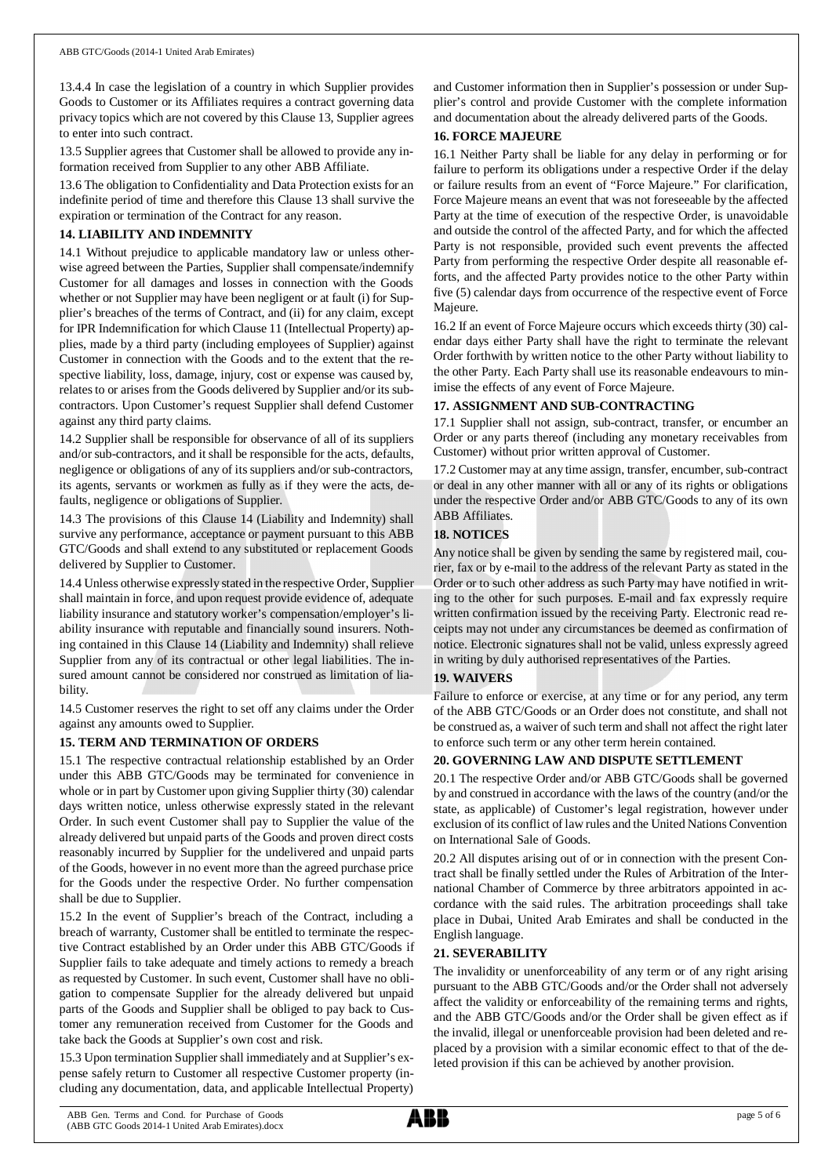13.4.4 In case the legislation of a country in which Supplier provides Goods to Customer or its Affiliates requires a contract governing data privacy topics which are not covered by this Clause 13, Supplier agrees to enter into such contract.

13.5 Supplier agrees that Customer shall be allowed to provide any information received from Supplier to any other ABB Affiliate.

13.6 The obligation to Confidentiality and Data Protection exists for an indefinite period of time and therefore this Clause 13 shall survive the expiration or termination of the Contract for any reason.

#### **14. LIABILITY AND INDEMNITY**

14.1 Without prejudice to applicable mandatory law or unless otherwise agreed between the Parties, Supplier shall compensate/indemnify Customer for all damages and losses in connection with the Goods whether or not Supplier may have been negligent or at fault (i) for Supplier's breaches of the terms of Contract, and (ii) for any claim, except for IPR Indemnification for which Clause 11 (Intellectual Property) applies, made by a third party (including employees of Supplier) against Customer in connection with the Goods and to the extent that the respective liability, loss, damage, injury, cost or expense was caused by, relates to or arises from the Goods delivered by Supplier and/or its subcontractors. Upon Customer's request Supplier shall defend Customer against any third party claims.

14.2 Supplier shall be responsible for observance of all of its suppliers and/or sub-contractors, and it shall be responsible for the acts, defaults, negligence or obligations of any of its suppliers and/or sub-contractors, its agents, servants or workmen as fully as if they were the acts, defaults, negligence or obligations of Supplier.

14.3 The provisions of this Clause 14 (Liability and Indemnity) shall survive any performance, acceptance or payment pursuant to this ABB GTC/Goods and shall extend to any substituted or replacement Goods delivered by Supplier to Customer.

14.4 Unless otherwise expressly stated in the respective Order, Supplier shall maintain in force, and upon request provide evidence of, adequate liability insurance and statutory worker's compensation/employer's liability insurance with reputable and financially sound insurers. Nothing contained in this Clause 14 (Liability and Indemnity) shall relieve Supplier from any of its contractual or other legal liabilities. The insured amount cannot be considered nor construed as limitation of liability.

14.5 Customer reserves the right to set off any claims under the Order against any amounts owed to Supplier.

## **15. TERM AND TERMINATION OF ORDERS**

15.1 The respective contractual relationship established by an Order under this ABB GTC/Goods may be terminated for convenience in whole or in part by Customer upon giving Supplier thirty (30) calendar days written notice, unless otherwise expressly stated in the relevant Order. In such event Customer shall pay to Supplier the value of the already delivered but unpaid parts of the Goods and proven direct costs reasonably incurred by Supplier for the undelivered and unpaid parts of the Goods, however in no event more than the agreed purchase price for the Goods under the respective Order. No further compensation shall be due to Supplier.

15.2 In the event of Supplier's breach of the Contract, including a breach of warranty, Customer shall be entitled to terminate the respective Contract established by an Order under this ABB GTC/Goods if Supplier fails to take adequate and timely actions to remedy a breach as requested by Customer. In such event, Customer shall have no obligation to compensate Supplier for the already delivered but unpaid parts of the Goods and Supplier shall be obliged to pay back to Customer any remuneration received from Customer for the Goods and take back the Goods at Supplier's own cost and risk.

15.3 Upon termination Supplier shall immediately and at Supplier's expense safely return to Customer all respective Customer property (including any documentation, data, and applicable Intellectual Property)

and Customer information then in Supplier's possession or under Supplier's control and provide Customer with the complete information and documentation about the already delivered parts of the Goods.

#### **16. FORCE MAJEURE**

16.1 Neither Party shall be liable for any delay in performing or for failure to perform its obligations under a respective Order if the delay or failure results from an event of "Force Majeure." For clarification, Force Majeure means an event that was not foreseeable by the affected Party at the time of execution of the respective Order, is unavoidable and outside the control of the affected Party, and for which the affected Party is not responsible, provided such event prevents the affected Party from performing the respective Order despite all reasonable efforts, and the affected Party provides notice to the other Party within five (5) calendar days from occurrence of the respective event of Force Majeure.

16.2 If an event of Force Majeure occurs which exceeds thirty (30) calendar days either Party shall have the right to terminate the relevant Order forthwith by written notice to the other Party without liability to the other Party. Each Party shall use its reasonable endeavours to minimise the effects of any event of Force Majeure.

#### **17. ASSIGNMENT AND SUB-CONTRACTING**

17.1 Supplier shall not assign, sub-contract, transfer, or encumber an Order or any parts thereof (including any monetary receivables from Customer) without prior written approval of Customer.

17.2 Customer may at any time assign, transfer, encumber, sub-contract or deal in any other manner with all or any of its rights or obligations under the respective Order and/or ABB GTC/Goods to any of its own ABB Affiliates.

## **18. NOTICES**

Any notice shall be given by sending the same by registered mail, courier, fax or by e-mail to the address of the relevant Party as stated in the Order or to such other address as such Party may have notified in writing to the other for such purposes. E-mail and fax expressly require written confirmation issued by the receiving Party. Electronic read receipts may not under any circumstances be deemed as confirmation of notice. Electronic signatures shall not be valid, unless expressly agreed in writing by duly authorised representatives of the Parties.

## **19. WAIVERS**

Failure to enforce or exercise, at any time or for any period, any term of the ABB GTC/Goods or an Order does not constitute, and shall not be construed as, a waiver of such term and shall not affect the right later to enforce such term or any other term herein contained.

## **20. GOVERNING LAW AND DISPUTE SETTLEMENT**

20.1 The respective Order and/or ABB GTC/Goods shall be governed by and construed in accordance with the laws of the country (and/or the state, as applicable) of Customer's legal registration, however under exclusion of its conflict of law rules and the United Nations Convention on International Sale of Goods.

20.2 All disputes arising out of or in connection with the present Contract shall be finally settled under the Rules of Arbitration of the International Chamber of Commerce by three arbitrators appointed in accordance with the said rules. The arbitration proceedings shall take place in Dubai, United Arab Emirates and shall be conducted in the English language.

#### **21. SEVERABILITY**

The invalidity or unenforceability of any term or of any right arising pursuant to the ABB GTC/Goods and/or the Order shall not adversely affect the validity or enforceability of the remaining terms and rights, and the ABB GTC/Goods and/or the Order shall be given effect as if the invalid, illegal or unenforceable provision had been deleted and replaced by a provision with a similar economic effect to that of the deleted provision if this can be achieved by another provision.